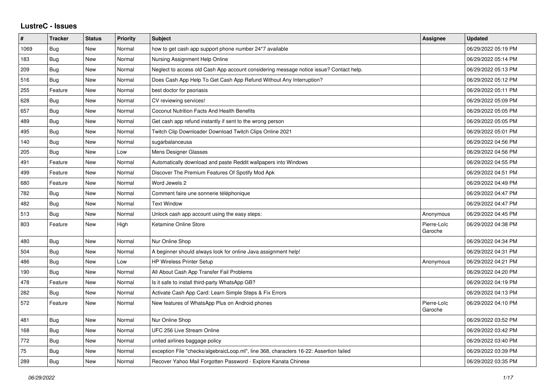## **LustreC - Issues**

| $\vert$ # | <b>Tracker</b> | <b>Status</b> | <b>Priority</b> | <b>Subject</b>                                                                         | Assignee               | <b>Updated</b>      |
|-----------|----------------|---------------|-----------------|----------------------------------------------------------------------------------------|------------------------|---------------------|
| 1069      | Bug            | <b>New</b>    | Normal          | how to get cash app support phone number 24*7 available                                |                        | 06/29/2022 05:19 PM |
| 183       | Bug            | <b>New</b>    | Normal          | Nursing Assignment Help Online                                                         |                        | 06/29/2022 05:14 PM |
| 209       | <b>Bug</b>     | New           | Normal          | Neglect to access old Cash App account considering message notice issue? Contact help. |                        | 06/29/2022 05:13 PM |
| 516       | <b>Bug</b>     | <b>New</b>    | Normal          | Does Cash App Help To Get Cash App Refund Without Any Interruption?                    |                        | 06/29/2022 05:12 PM |
| 255       | Feature        | <b>New</b>    | Normal          | best doctor for psoriasis                                                              |                        | 06/29/2022 05:11 PM |
| 628       | <b>Bug</b>     | New           | Normal          | CV reviewing services!                                                                 |                        | 06/29/2022 05:09 PM |
| 657       | <b>Bug</b>     | <b>New</b>    | Normal          | Coconut Nutrition Facts And Health Benefits                                            |                        | 06/29/2022 05:05 PM |
| 489       | <b>Bug</b>     | New           | Normal          | Get cash app refund instantly if sent to the wrong person                              |                        | 06/29/2022 05:05 PM |
| 495       | Bug            | New           | Normal          | Twitch Clip Downloader Download Twitch Clips Online 2021                               |                        | 06/29/2022 05:01 PM |
| 140       | <b>Bug</b>     | <b>New</b>    | Normal          | sugarbalanceusa                                                                        |                        | 06/29/2022 04:56 PM |
| 205       | Bug            | <b>New</b>    | Low             | Mens Designer Glasses                                                                  |                        | 06/29/2022 04:56 PM |
| 491       | Feature        | <b>New</b>    | Normal          | Automatically download and paste Reddit wallpapers into Windows                        |                        | 06/29/2022 04:55 PM |
| 499       | Feature        | New           | Normal          | Discover The Premium Features Of Spotify Mod Apk                                       |                        | 06/29/2022 04:51 PM |
| 680       | Feature        | <b>New</b>    | Normal          | Word Jewels 2                                                                          |                        | 06/29/2022 04:49 PM |
| 782       | Bug            | New           | Normal          | Comment faire une sonnerie téléphonique                                                |                        | 06/29/2022 04:47 PM |
| 482       | Bug            | New           | Normal          | <b>Text Window</b>                                                                     |                        | 06/29/2022 04:47 PM |
| 513       | Bug            | <b>New</b>    | Normal          | Unlock cash app account using the easy steps:                                          | Anonymous              | 06/29/2022 04:45 PM |
| 803       | Feature        | <b>New</b>    | High            | Ketamine Online Store                                                                  | Pierre-Loïc<br>Garoche | 06/29/2022 04:38 PM |
| 480       | <b>Bug</b>     | <b>New</b>    | Normal          | Nur Online Shop                                                                        |                        | 06/29/2022 04:34 PM |
| 504       | Bug            | New           | Normal          | A beginner should always look for online Java assignment help!                         |                        | 06/29/2022 04:31 PM |
| 486       | <b>Bug</b>     | <b>New</b>    | Low             | <b>HP Wireless Printer Setup</b>                                                       | Anonymous              | 06/29/2022 04:21 PM |
| 190       | <b>Bug</b>     | <b>New</b>    | Normal          | All About Cash App Transfer Fail Problems                                              |                        | 06/29/2022 04:20 PM |
| 478       | Feature        | New           | Normal          | Is it safe to install third-party WhatsApp GB?                                         |                        | 06/29/2022 04:19 PM |
| 282       | Bug            | New           | Normal          | Activate Cash App Card: Learn Simple Steps & Fix Errors                                |                        | 06/29/2022 04:13 PM |
| 572       | Feature        | <b>New</b>    | Normal          | New features of WhatsApp Plus on Android phones                                        | Pierre-Loïc<br>Garoche | 06/29/2022 04:10 PM |
| 481       | <b>Bug</b>     | <b>New</b>    | Normal          | Nur Online Shop                                                                        |                        | 06/29/2022 03:52 PM |
| 168       | Bug            | <b>New</b>    | Normal          | UFC 256 Live Stream Online                                                             |                        | 06/29/2022 03:42 PM |
| 772       | Bug            | New           | Normal          | united airlines baggage policy                                                         |                        | 06/29/2022 03:40 PM |
| 75        | Bug            | <b>New</b>    | Normal          | exception File "checks/algebraicLoop.ml", line 368, characters 16-22: Assertion failed |                        | 06/29/2022 03:39 PM |
| 289       | Bug            | <b>New</b>    | Normal          | Recover Yahoo Mail Forgotten Password - Explore Kanata Chinese                         |                        | 06/29/2022 03:35 PM |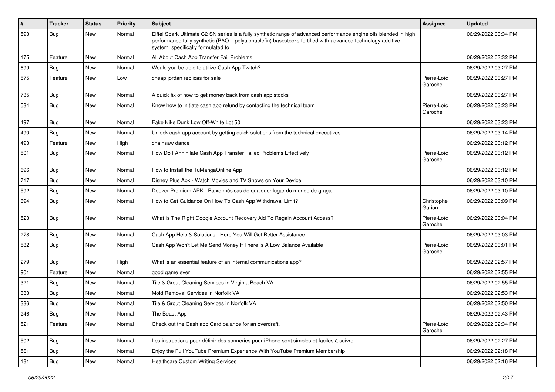| $\vert$ # | <b>Tracker</b> | <b>Status</b> | <b>Priority</b> | <b>Subject</b>                                                                                                                                                                                                                                                        | Assignee               | <b>Updated</b>      |
|-----------|----------------|---------------|-----------------|-----------------------------------------------------------------------------------------------------------------------------------------------------------------------------------------------------------------------------------------------------------------------|------------------------|---------------------|
| 593       | Bug            | New           | Normal          | Eiffel Spark Ultimate C2 SN series is a fully synthetic range of advanced performance engine oils blended in high<br>performance fully synthetic (PAO - polyalphaolefin) basestocks fortified with advanced technology additive<br>system, specifically formulated to |                        | 06/29/2022 03:34 PM |
| 175       | Feature        | New           | Normal          | All About Cash App Transfer Fail Problems                                                                                                                                                                                                                             |                        | 06/29/2022 03:32 PM |
| 699       | Bug            | New           | Normal          | Would you be able to utilize Cash App Twitch?                                                                                                                                                                                                                         |                        | 06/29/2022 03:27 PM |
| 575       | Feature        | New           | Low             | cheap jordan replicas for sale                                                                                                                                                                                                                                        | Pierre-Loïc<br>Garoche | 06/29/2022 03:27 PM |
| 735       | Bug            | <b>New</b>    | Normal          | A quick fix of how to get money back from cash app stocks                                                                                                                                                                                                             |                        | 06/29/2022 03:27 PM |
| 534       | <b>Bug</b>     | New           | Normal          | Know how to initiate cash app refund by contacting the technical team                                                                                                                                                                                                 | Pierre-Loïc<br>Garoche | 06/29/2022 03:23 PM |
| 497       | <b>Bug</b>     | New           | Normal          | Fake Nike Dunk Low Off-White Lot 50                                                                                                                                                                                                                                   |                        | 06/29/2022 03:23 PM |
| 490       | <b>Bug</b>     | New           | Normal          | Unlock cash app account by getting quick solutions from the technical executives                                                                                                                                                                                      |                        | 06/29/2022 03:14 PM |
| 493       | Feature        | New           | High            | chainsaw dance                                                                                                                                                                                                                                                        |                        | 06/29/2022 03:12 PM |
| 501       | Bug            | New           | Normal          | How Do I Annihilate Cash App Transfer Failed Problems Effectively                                                                                                                                                                                                     | Pierre-Loïc<br>Garoche | 06/29/2022 03:12 PM |
| 696       | <b>Bug</b>     | New           | Normal          | How to Install the TuMangaOnline App                                                                                                                                                                                                                                  |                        | 06/29/2022 03:12 PM |
| 717       | Bug            | New           | Normal          | Disney Plus Apk - Watch Movies and TV Shows on Your Device                                                                                                                                                                                                            |                        | 06/29/2022 03:10 PM |
| 592       | <b>Bug</b>     | New           | Normal          | Deezer Premium APK - Baixe músicas de qualquer lugar do mundo de graça                                                                                                                                                                                                |                        | 06/29/2022 03:10 PM |
| 694       | <b>Bug</b>     | New           | Normal          | How to Get Guidance On How To Cash App Withdrawal Limit?                                                                                                                                                                                                              | Christophe<br>Garion   | 06/29/2022 03:09 PM |
| 523       | Bug            | New           | Normal          | What Is The Right Google Account Recovery Aid To Regain Account Access?                                                                                                                                                                                               | Pierre-Loïc<br>Garoche | 06/29/2022 03:04 PM |
| 278       | <b>Bug</b>     | New           | Normal          | Cash App Help & Solutions - Here You Will Get Better Assistance                                                                                                                                                                                                       |                        | 06/29/2022 03:03 PM |
| 582       | Bug            | New           | Normal          | Cash App Won't Let Me Send Money If There Is A Low Balance Available                                                                                                                                                                                                  | Pierre-Loïc<br>Garoche | 06/29/2022 03:01 PM |
| 279       | <b>Bug</b>     | New           | High            | What is an essential feature of an internal communications app?                                                                                                                                                                                                       |                        | 06/29/2022 02:57 PM |
| 901       | Feature        | New           | Normal          | good game ever                                                                                                                                                                                                                                                        |                        | 06/29/2022 02:55 PM |
| 321       | <b>Bug</b>     | New           | Normal          | Tile & Grout Cleaning Services in Virginia Beach VA                                                                                                                                                                                                                   |                        | 06/29/2022 02:55 PM |
| 333       | Bug            | New           | Normal          | Mold Removal Services in Norfolk VA                                                                                                                                                                                                                                   |                        | 06/29/2022 02:53 PM |
| 336       | <b>Bug</b>     | New           | Normal          | Tile & Grout Cleaning Services in Norfolk VA                                                                                                                                                                                                                          |                        | 06/29/2022 02:50 PM |
| 246       | <b>Bug</b>     | New           | Normal          | The Beast App                                                                                                                                                                                                                                                         |                        | 06/29/2022 02:43 PM |
| 521       | Feature        | New           | Normal          | Check out the Cash app Card balance for an overdraft.                                                                                                                                                                                                                 | Pierre-Loïc<br>Garoche | 06/29/2022 02:34 PM |
| 502       | <b>Bug</b>     | New           | Normal          | Les instructions pour définir des sonneries pour iPhone sont simples et faciles à suivre                                                                                                                                                                              |                        | 06/29/2022 02:27 PM |
| 561       | <b>Bug</b>     | New           | Normal          | Enjoy the Full YouTube Premium Experience With YouTube Premium Membership                                                                                                                                                                                             |                        | 06/29/2022 02:18 PM |
| 181       | <b>Bug</b>     | New           | Normal          | <b>Healthcare Custom Writing Services</b>                                                                                                                                                                                                                             |                        | 06/29/2022 02:16 PM |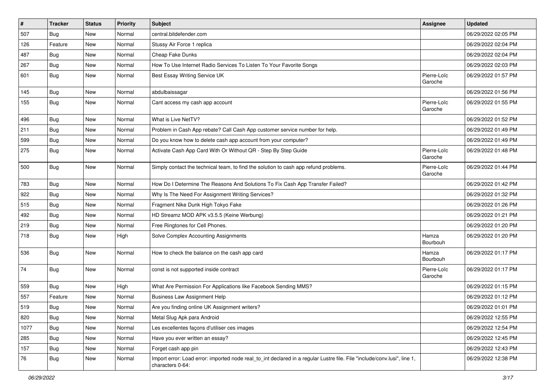| $\pmb{\#}$ | <b>Tracker</b> | <b>Status</b> | Priority | <b>Subject</b>                                                                                                                               | <b>Assignee</b>        | <b>Updated</b>      |
|------------|----------------|---------------|----------|----------------------------------------------------------------------------------------------------------------------------------------------|------------------------|---------------------|
| 507        | <b>Bug</b>     | New           | Normal   | central.bitdefender.com                                                                                                                      |                        | 06/29/2022 02:05 PM |
| 126        | Feature        | <b>New</b>    | Normal   | Stussy Air Force 1 replica                                                                                                                   |                        | 06/29/2022 02:04 PM |
| 487        | Bug            | New           | Normal   | <b>Cheap Fake Dunks</b>                                                                                                                      |                        | 06/29/2022 02:04 PM |
| 267        | Bug            | New           | Normal   | How To Use Internet Radio Services To Listen To Your Favorite Songs                                                                          |                        | 06/29/2022 02:03 PM |
| 601        | <b>Bug</b>     | New           | Normal   | Best Essay Writing Service UK                                                                                                                | Pierre-Loïc<br>Garoche | 06/29/2022 01:57 PM |
| 145        | <b>Bug</b>     | New           | Normal   | abdulbaissagar                                                                                                                               |                        | 06/29/2022 01:56 PM |
| 155        | <b>Bug</b>     | New           | Normal   | Cant access my cash app account                                                                                                              | Pierre-Loïc<br>Garoche | 06/29/2022 01:55 PM |
| 496        | Bug            | New           | Normal   | What is Live NetTV?                                                                                                                          |                        | 06/29/2022 01:52 PM |
| 211        | Bug            | New           | Normal   | Problem in Cash App rebate? Call Cash App customer service number for help.                                                                  |                        | 06/29/2022 01:49 PM |
| 599        | <b>Bug</b>     | New           | Normal   | Do you know how to delete cash app account from your computer?                                                                               |                        | 06/29/2022 01:49 PM |
| 275        | <b>Bug</b>     | New           | Normal   | Activate Cash App Card With Or Without QR - Step By Step Guide                                                                               | Pierre-Loïc<br>Garoche | 06/29/2022 01:48 PM |
| 500        | Bug            | New           | Normal   | Simply contact the technical team, to find the solution to cash app refund problems.                                                         | Pierre-Loïc<br>Garoche | 06/29/2022 01:44 PM |
| 783        | Bug            | New           | Normal   | How Do I Determine The Reasons And Solutions To Fix Cash App Transfer Failed?                                                                |                        | 06/29/2022 01:42 PM |
| 922        | <b>Bug</b>     | New           | Normal   | Why Is The Need For Assignment Writing Services?                                                                                             |                        | 06/29/2022 01:32 PM |
| 515        | Bug            | New           | Normal   | Fragment Nike Dunk High Tokyo Fake                                                                                                           |                        | 06/29/2022 01:26 PM |
| 492        | Bug            | New           | Normal   | HD Streamz MOD APK v3.5.5 (Keine Werbung)                                                                                                    |                        | 06/29/2022 01:21 PM |
| 219        | Bug            | New           | Normal   | Free Ringtones for Cell Phones.                                                                                                              |                        | 06/29/2022 01:20 PM |
| 718        | Bug            | New           | High     | Solve Complex Accounting Assignments                                                                                                         | Hamza<br>Bourbouh      | 06/29/2022 01:20 PM |
| 536        | Bug            | New           | Normal   | How to check the balance on the cash app card                                                                                                | Hamza<br>Bourbouh      | 06/29/2022 01:17 PM |
| 74         | Bug            | New           | Normal   | const is not supported inside contract                                                                                                       | Pierre-Loïc<br>Garoche | 06/29/2022 01:17 PM |
| 559        | Bug            | New           | High     | What Are Permission For Applications like Facebook Sending MMS?                                                                              |                        | 06/29/2022 01:15 PM |
| 557        | Feature        | New           | Normal   | <b>Business Law Assignment Help</b>                                                                                                          |                        | 06/29/2022 01:12 PM |
| 519        | <b>Bug</b>     | New           | Normal   | Are you finding online UK Assignment writers?                                                                                                |                        | 06/29/2022 01:01 PM |
| 820        | <b>Bug</b>     | New           | Normal   | Metal Slug Apk para Android                                                                                                                  |                        | 06/29/2022 12:55 PM |
| 1077       | Bug            | New           | Normal   | Les excellentes façons d'utiliser ces images                                                                                                 |                        | 06/29/2022 12:54 PM |
| 285        | Bug            | New           | Normal   | Have you ever written an essay?                                                                                                              |                        | 06/29/2022 12:45 PM |
| 157        | Bug            | New           | Normal   | Forget cash app pin                                                                                                                          |                        | 06/29/2022 12:43 PM |
| 76         | <b>Bug</b>     | New           | Normal   | Import error: Load error: imported node real_to_int declared in a regular Lustre file. File "include/conv.lusi", line 1,<br>characters 0-64: |                        | 06/29/2022 12:38 PM |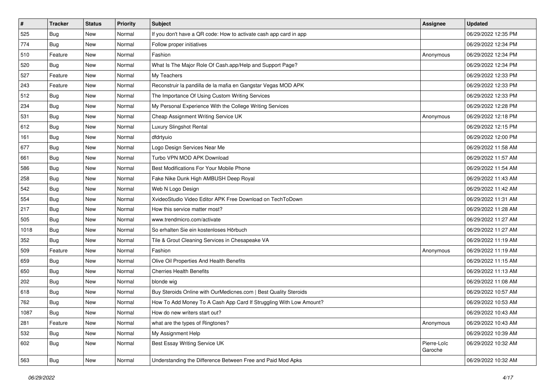| #    | <b>Tracker</b> | <b>Status</b> | <b>Priority</b> | <b>Subject</b>                                                     | <b>Assignee</b>        | <b>Updated</b>      |
|------|----------------|---------------|-----------------|--------------------------------------------------------------------|------------------------|---------------------|
| 525  | <b>Bug</b>     | New           | Normal          | If you don't have a QR code: How to activate cash app card in app  |                        | 06/29/2022 12:35 PM |
| 774  | <b>Bug</b>     | New           | Normal          | Follow proper initiatives                                          |                        | 06/29/2022 12:34 PM |
| 510  | Feature        | New           | Normal          | Fashion                                                            | Anonymous              | 06/29/2022 12:34 PM |
| 520  | <b>Bug</b>     | New           | Normal          | What Is The Major Role Of Cash.app/Help and Support Page?          |                        | 06/29/2022 12:34 PM |
| 527  | Feature        | New           | Normal          | My Teachers                                                        |                        | 06/29/2022 12:33 PM |
| 243  | Feature        | New           | Normal          | Reconstruir la pandilla de la mafia en Gangstar Vegas MOD APK      |                        | 06/29/2022 12:33 PM |
| 512  | <b>Bug</b>     | New           | Normal          | The Importance Of Using Custom Writing Services                    |                        | 06/29/2022 12:33 PM |
| 234  | <b>Bug</b>     | New           | Normal          | My Personal Experience With the College Writing Services           |                        | 06/29/2022 12:28 PM |
| 531  | <b>Bug</b>     | New           | Normal          | Cheap Assignment Writing Service UK                                | Anonymous              | 06/29/2022 12:18 PM |
| 612  | Bug            | New           | Normal          | Luxury Slingshot Rental                                            |                        | 06/29/2022 12:15 PM |
| 161  | <b>Bug</b>     | New           | Normal          | dfdrtyuio                                                          |                        | 06/29/2022 12:00 PM |
| 677  | <b>Bug</b>     | New           | Normal          | Logo Design Services Near Me                                       |                        | 06/29/2022 11:58 AM |
| 661  | Bug            | New           | Normal          | Turbo VPN MOD APK Download                                         |                        | 06/29/2022 11:57 AM |
| 586  | <b>Bug</b>     | New           | Normal          | Best Modifications For Your Mobile Phone                           |                        | 06/29/2022 11:54 AM |
| 258  | <b>Bug</b>     | New           | Normal          | Fake Nike Dunk High AMBUSH Deep Royal                              |                        | 06/29/2022 11:43 AM |
| 542  | <b>Bug</b>     | New           | Normal          | Web N Logo Design                                                  |                        | 06/29/2022 11:42 AM |
| 554  | <b>Bug</b>     | New           | Normal          | XvideoStudio Video Editor APK Free Download on TechToDown          |                        | 06/29/2022 11:31 AM |
| 217  | <b>Bug</b>     | New           | Normal          | How this service matter most?                                      |                        | 06/29/2022 11:28 AM |
| 505  | <b>Bug</b>     | New           | Normal          | www.trendmicro.com/activate                                        |                        | 06/29/2022 11:27 AM |
| 1018 | <b>Bug</b>     | New           | Normal          | So erhalten Sie ein kostenloses Hörbuch                            |                        | 06/29/2022 11:27 AM |
| 352  | <b>Bug</b>     | New           | Normal          | Tile & Grout Cleaning Services in Chesapeake VA                    |                        | 06/29/2022 11:19 AM |
| 509  | Feature        | New           | Normal          | Fashion                                                            | Anonymous              | 06/29/2022 11:19 AM |
| 659  | <b>Bug</b>     | New           | Normal          | Olive Oil Properties And Health Benefits                           |                        | 06/29/2022 11:15 AM |
| 650  | <b>Bug</b>     | New           | Normal          | Cherries Health Benefits                                           |                        | 06/29/2022 11:13 AM |
| 202  | Bug            | New           | Normal          | blonde wig                                                         |                        | 06/29/2022 11:08 AM |
| 618  | <b>Bug</b>     | New           | Normal          | Buy Steroids Online with OurMedicnes.com   Best Quality Steroids   |                        | 06/29/2022 10:57 AM |
| 762  | <b>Bug</b>     | New           | Normal          | How To Add Money To A Cash App Card If Struggling With Low Amount? |                        | 06/29/2022 10:53 AM |
| 1087 | Bug            | New           | Normal          | How do new writers start out?                                      |                        | 06/29/2022 10:43 AM |
| 281  | Feature        | New           | Normal          | what are the types of Ringtones?                                   | Anonymous              | 06/29/2022 10:43 AM |
| 532  | <b>Bug</b>     | New           | Normal          | My Assignment Help                                                 |                        | 06/29/2022 10:39 AM |
| 602  | <b>Bug</b>     | New           | Normal          | Best Essay Writing Service UK                                      | Pierre-Loïc<br>Garoche | 06/29/2022 10:32 AM |
| 563  | <b>Bug</b>     | New           | Normal          | Understanding the Difference Between Free and Paid Mod Apks        |                        | 06/29/2022 10:32 AM |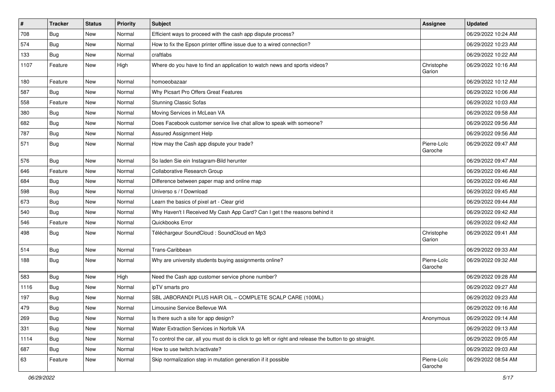| $\pmb{\sharp}$ | <b>Tracker</b> | <b>Status</b> | Priority | <b>Subject</b>                                                                                          | <b>Assignee</b>        | <b>Updated</b>      |
|----------------|----------------|---------------|----------|---------------------------------------------------------------------------------------------------------|------------------------|---------------------|
| 708            | <b>Bug</b>     | New           | Normal   | Efficient ways to proceed with the cash app dispute process?                                            |                        | 06/29/2022 10:24 AM |
| 574            | <b>Bug</b>     | New           | Normal   | How to fix the Epson printer offline issue due to a wired connection?                                   |                        | 06/29/2022 10:23 AM |
| 133            | Bug            | New           | Normal   | craftlabs                                                                                               |                        | 06/29/2022 10:22 AM |
| 1107           | Feature        | New           | High     | Where do you have to find an application to watch news and sports videos?                               | Christophe<br>Garion   | 06/29/2022 10:16 AM |
| 180            | Feature        | New           | Normal   | homoeobazaar                                                                                            |                        | 06/29/2022 10:12 AM |
| 587            | Bug            | New           | Normal   | Why Picsart Pro Offers Great Features                                                                   |                        | 06/29/2022 10:06 AM |
| 558            | Feature        | New           | Normal   | <b>Stunning Classic Sofas</b>                                                                           |                        | 06/29/2022 10:03 AM |
| 380            | Bug            | New           | Normal   | Moving Services in McLean VA                                                                            |                        | 06/29/2022 09:58 AM |
| 682            | Bug            | <b>New</b>    | Normal   | Does Facebook customer service live chat allow to speak with someone?                                   |                        | 06/29/2022 09:56 AM |
| 787            | Bug            | New           | Normal   | Assured Assignment Help                                                                                 |                        | 06/29/2022 09:56 AM |
| 571            | <b>Bug</b>     | New           | Normal   | How may the Cash app dispute your trade?                                                                | Pierre-Loïc<br>Garoche | 06/29/2022 09:47 AM |
| 576            | Bug            | <b>New</b>    | Normal   | So laden Sie ein Instagram-Bild herunter                                                                |                        | 06/29/2022 09:47 AM |
| 646            | Feature        | New           | Normal   | Collaborative Research Group                                                                            |                        | 06/29/2022 09:46 AM |
| 684            | Bug            | New           | Normal   | Difference between paper map and online map                                                             |                        | 06/29/2022 09:46 AM |
| 598            | Bug            | New           | Normal   | Universo s / f Download                                                                                 |                        | 06/29/2022 09:45 AM |
| 673            | Bug            | New           | Normal   | Learn the basics of pixel art - Clear grid                                                              |                        | 06/29/2022 09:44 AM |
| 540            | <b>Bug</b>     | New           | Normal   | Why Haven't I Received My Cash App Card? Can I get t the reasons behind it                              |                        | 06/29/2022 09:42 AM |
| 546            | Feature        | New           | Normal   | Quickbooks Error                                                                                        |                        | 06/29/2022 09:42 AM |
| 498            | Bug            | New           | Normal   | Téléchargeur SoundCloud : SoundCloud en Mp3                                                             | Christophe<br>Garion   | 06/29/2022 09:41 AM |
| 514            | Bug            | New           | Normal   | Trans-Caribbean                                                                                         |                        | 06/29/2022 09:33 AM |
| 188            | Bug            | New           | Normal   | Why are university students buying assignments online?                                                  | Pierre-Loïc<br>Garoche | 06/29/2022 09:32 AM |
| 583            | Bug            | New           | High     | Need the Cash app customer service phone number?                                                        |                        | 06/29/2022 09:28 AM |
| 1116           | <b>Bug</b>     | New           | Normal   | ipTV smarts pro                                                                                         |                        | 06/29/2022 09:27 AM |
| 197            | Bug            | New           | Normal   | SBL JABORANDI PLUS HAIR OIL - COMPLETE SCALP CARE (100ML)                                               |                        | 06/29/2022 09:23 AM |
| 479            | <b>Bug</b>     | New           | Normal   | Limousine Service Bellevue WA                                                                           |                        | 06/29/2022 09:16 AM |
| 269            | <b>Bug</b>     | New           | Normal   | Is there such a site for app design?                                                                    | Anonymous              | 06/29/2022 09:14 AM |
| 331            | <b>Bug</b>     | New           | Normal   | Water Extraction Services in Norfolk VA                                                                 |                        | 06/29/2022 09:13 AM |
| 1114           | <b>Bug</b>     | New           | Normal   | To control the car, all you must do is click to go left or right and release the button to go straight. |                        | 06/29/2022 09:05 AM |
| 687            | <b>Bug</b>     | New           | Normal   | How to use twitch.tv/activate?                                                                          |                        | 06/29/2022 09:03 AM |
| 63             | Feature        | New           | Normal   | Skip normalization step in mutation generation if it possible                                           | Pierre-Loïc<br>Garoche | 06/29/2022 08:54 AM |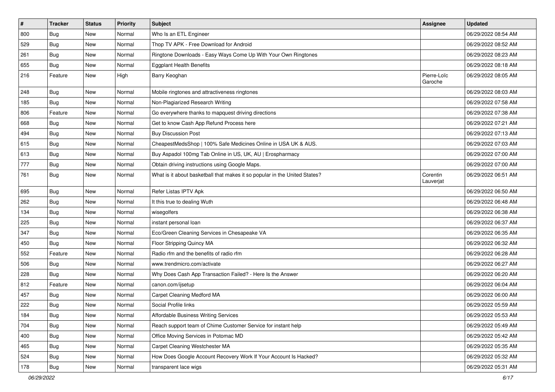| $\vert$ # | <b>Tracker</b> | <b>Status</b> | Priority | <b>Subject</b>                                                             | <b>Assignee</b>        | <b>Updated</b>      |
|-----------|----------------|---------------|----------|----------------------------------------------------------------------------|------------------------|---------------------|
| 800       | <b>Bug</b>     | New           | Normal   | Who Is an ETL Engineer                                                     |                        | 06/29/2022 08:54 AM |
| 529       | <b>Bug</b>     | New           | Normal   | Thop TV APK - Free Download for Android                                    |                        | 06/29/2022 08:52 AM |
| 261       | Bug            | New           | Normal   | Ringtone Downloads - Easy Ways Come Up With Your Own Ringtones             |                        | 06/29/2022 08:23 AM |
| 655       | <b>Bug</b>     | New           | Normal   | <b>Eggplant Health Benefits</b>                                            |                        | 06/29/2022 08:18 AM |
| 216       | Feature        | New           | High     | Barry Keoghan                                                              | Pierre-Loïc<br>Garoche | 06/29/2022 08:05 AM |
| 248       | Bug            | New           | Normal   | Mobile ringtones and attractiveness ringtones                              |                        | 06/29/2022 08:03 AM |
| 185       | Bug            | New           | Normal   | Non-Plagiarized Research Writing                                           |                        | 06/29/2022 07:58 AM |
| 806       | Feature        | New           | Normal   | Go everywhere thanks to mapquest driving directions                        |                        | 06/29/2022 07:38 AM |
| 668       | Bug            | New           | Normal   | Get to know Cash App Refund Process here                                   |                        | 06/29/2022 07:21 AM |
| 494       | Bug            | New           | Normal   | <b>Buy Discussion Post</b>                                                 |                        | 06/29/2022 07:13 AM |
| 615       | <b>Bug</b>     | New           | Normal   | CheapestMedsShop   100% Safe Medicines Online in USA UK & AUS.             |                        | 06/29/2022 07:03 AM |
| 613       | Bug            | New           | Normal   | Buy Aspadol 100mg Tab Online in US, UK, AU   Erospharmacy                  |                        | 06/29/2022 07:00 AM |
| 777       | <b>Bug</b>     | New           | Normal   | Obtain driving instructions using Google Maps.                             |                        | 06/29/2022 07:00 AM |
| 761       | <b>Bug</b>     | New           | Normal   | What is it about basketball that makes it so popular in the United States? | Corentin<br>Lauverjat  | 06/29/2022 06:51 AM |
| 695       | Bug            | New           | Normal   | Refer Listas IPTV Apk                                                      |                        | 06/29/2022 06:50 AM |
| 262       | <b>Bug</b>     | New           | Normal   | It this true to dealing Wuth                                               |                        | 06/29/2022 06:48 AM |
| 134       | <b>Bug</b>     | New           | Normal   | wisegolfers                                                                |                        | 06/29/2022 06:38 AM |
| 225       | <b>Bug</b>     | New           | Normal   | instant personal loan                                                      |                        | 06/29/2022 06:37 AM |
| 347       | Bug            | New           | Normal   | Eco/Green Cleaning Services in Chesapeake VA                               |                        | 06/29/2022 06:35 AM |
| 450       | Bug            | New           | Normal   | Floor Stripping Quincy MA                                                  |                        | 06/29/2022 06:32 AM |
| 552       | Feature        | New           | Normal   | Radio rfm and the benefits of radio rfm                                    |                        | 06/29/2022 06:28 AM |
| 506       | Bug            | New           | Normal   | www.trendmicro.com/activate                                                |                        | 06/29/2022 06:27 AM |
| 228       | <b>Bug</b>     | New           | Normal   | Why Does Cash App Transaction Failed? - Here Is the Answer                 |                        | 06/29/2022 06:20 AM |
| 812       | Feature        | New           | Normal   | canon.com/ijsetup                                                          |                        | 06/29/2022 06:04 AM |
| 457       | <b>Bug</b>     | New           | Normal   | Carpet Cleaning Medford MA                                                 |                        | 06/29/2022 06:00 AM |
| 222       | <b>Bug</b>     | New           | Normal   | Social Profile links                                                       |                        | 06/29/2022 05:59 AM |
| 184       | Bug            | New           | Normal   | Affordable Business Writing Services                                       |                        | 06/29/2022 05:53 AM |
| 704       | Bug            | New           | Normal   | Reach support team of Chime Customer Service for instant help              |                        | 06/29/2022 05:49 AM |
| 400       | <b>Bug</b>     | New           | Normal   | Office Moving Services in Potomac MD                                       |                        | 06/29/2022 05:42 AM |
| 465       | <b>Bug</b>     | New           | Normal   | Carpet Cleaning Westchester MA                                             |                        | 06/29/2022 05:35 AM |
| 524       | <b>Bug</b>     | New           | Normal   | How Does Google Account Recovery Work If Your Account Is Hacked?           |                        | 06/29/2022 05:32 AM |
| 178       | <b>Bug</b>     | New           | Normal   | transparent lace wigs                                                      |                        | 06/29/2022 05:31 AM |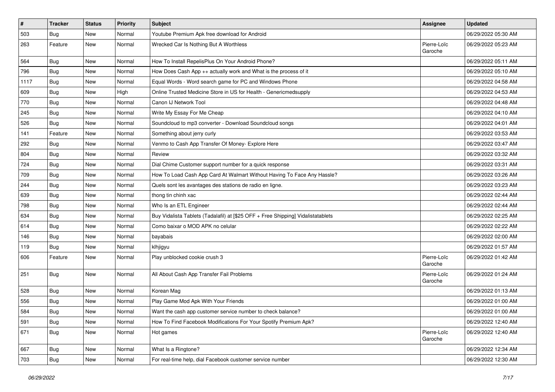| $\vert$ # | Tracker    | <b>Status</b> | <b>Priority</b> | <b>Subject</b>                                                                   | Assignee               | <b>Updated</b>      |
|-----------|------------|---------------|-----------------|----------------------------------------------------------------------------------|------------------------|---------------------|
| 503       | <b>Bug</b> | New           | Normal          | Youtube Premium Apk free download for Android                                    |                        | 06/29/2022 05:30 AM |
| 263       | Feature    | New           | Normal          | Wrecked Car Is Nothing But A Worthless                                           | Pierre-Loïc<br>Garoche | 06/29/2022 05:23 AM |
| 564       | Bug        | New           | Normal          | How To Install RepelisPlus On Your Android Phone?                                |                        | 06/29/2022 05:11 AM |
| 796       | Bug        | New           | Normal          | How Does Cash App ++ actually work and What is the process of it                 |                        | 06/29/2022 05:10 AM |
| 1117      | <b>Bug</b> | New           | Normal          | Equal Words - Word search game for PC and Windows Phone                          |                        | 06/29/2022 04:58 AM |
| 609       | <b>Bug</b> | New           | High            | Online Trusted Medicine Store in US for Health - Genericmedsupply                |                        | 06/29/2022 04:53 AM |
| 770       | <b>Bug</b> | New           | Normal          | Canon IJ Network Tool                                                            |                        | 06/29/2022 04:48 AM |
| 245       | <b>Bug</b> | New           | Normal          | Write My Essay For Me Cheap                                                      |                        | 06/29/2022 04:10 AM |
| 526       | Bug        | New           | Normal          | Soundcloud to mp3 converter - Download Soundcloud songs                          |                        | 06/29/2022 04:01 AM |
| 141       | Feature    | New           | Normal          | Something about jerry curly                                                      |                        | 06/29/2022 03:53 AM |
| 292       | <b>Bug</b> | New           | Normal          | Venmo to Cash App Transfer Of Money- Explore Here                                |                        | 06/29/2022 03:47 AM |
| 804       | Bug        | New           | Normal          | Review                                                                           |                        | 06/29/2022 03:32 AM |
| 724       | Bug        | New           | Normal          | Dial Chime Customer support number for a quick response                          |                        | 06/29/2022 03:31 AM |
| 709       | Bug        | New           | Normal          | How To Load Cash App Card At Walmart Without Having To Face Any Hassle?          |                        | 06/29/2022 03:26 AM |
| 244       | <b>Bug</b> | New           | Normal          | Quels sont les avantages des stations de radio en ligne.                         |                        | 06/29/2022 03:23 AM |
| 639       | <b>Bug</b> | New           | Normal          | thong tin chinh xac                                                              |                        | 06/29/2022 02:44 AM |
| 798       | <b>Bug</b> | New           | Normal          | Who Is an ETL Engineer                                                           |                        | 06/29/2022 02:44 AM |
| 634       | Bug        | New           | Normal          | Buy Vidalista Tablets (Tadalafil) at [\$25 OFF + Free Shipping] Vidalistatablets |                        | 06/29/2022 02:25 AM |
| 614       | <b>Bug</b> | New           | Normal          | Como baixar o MOD APK no celular                                                 |                        | 06/29/2022 02:22 AM |
| 146       | <b>Bug</b> | New           | Normal          | bayabais                                                                         |                        | 06/29/2022 02:00 AM |
| 119       | <b>Bug</b> | New           | Normal          | klhjigyu                                                                         |                        | 06/29/2022 01:57 AM |
| 606       | Feature    | New           | Normal          | Play unblocked cookie crush 3                                                    | Pierre-Loïc<br>Garoche | 06/29/2022 01:42 AM |
| 251       | Bug        | New           | Normal          | All About Cash App Transfer Fail Problems                                        | Pierre-Loïc<br>Garoche | 06/29/2022 01:24 AM |
| 528       | Bug        | New           | Normal          | Korean Mag                                                                       |                        | 06/29/2022 01:13 AM |
| 556       | <b>Bug</b> | New           | Normal          | Play Game Mod Apk With Your Friends                                              |                        | 06/29/2022 01:00 AM |
| 584       | <b>Bug</b> | New           | Normal          | Want the cash app customer service number to check balance?                      |                        | 06/29/2022 01:00 AM |
| 591       | <b>Bug</b> | New           | Normal          | How To Find Facebook Modifications For Your Spotify Premium Apk?                 |                        | 06/29/2022 12:40 AM |
| 671       | <b>Bug</b> | New           | Normal          | Hot games                                                                        | Pierre-Loïc<br>Garoche | 06/29/2022 12:40 AM |
| 667       | <b>Bug</b> | New           | Normal          | What Is a Ringtone?                                                              |                        | 06/29/2022 12:34 AM |
| 703       | Bug        | New           | Normal          | For real-time help, dial Facebook customer service number                        |                        | 06/29/2022 12:30 AM |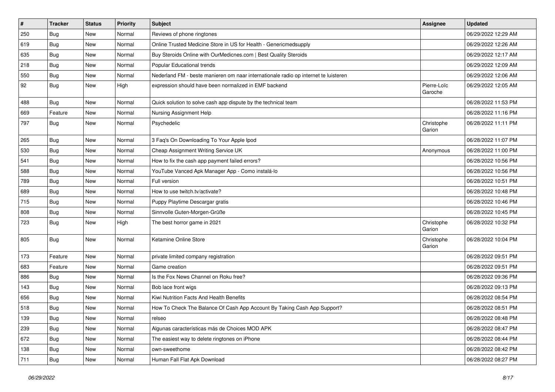| $\vert$ # | <b>Tracker</b> | <b>Status</b> | <b>Priority</b> | <b>Subject</b>                                                                      | <b>Assignee</b>        | <b>Updated</b>      |
|-----------|----------------|---------------|-----------------|-------------------------------------------------------------------------------------|------------------------|---------------------|
| 250       | <b>Bug</b>     | New           | Normal          | Reviews of phone ringtones                                                          |                        | 06/29/2022 12:29 AM |
| 619       | <b>Bug</b>     | New           | Normal          | Online Trusted Medicine Store in US for Health - Genericmedsupply                   |                        | 06/29/2022 12:26 AM |
| 635       | Bug            | New           | Normal          | Buy Steroids Online with OurMedicnes.com   Best Quality Steroids                    |                        | 06/29/2022 12:17 AM |
| 218       | <b>Bug</b>     | New           | Normal          | Popular Educational trends                                                          |                        | 06/29/2022 12:09 AM |
| 550       | Bug            | New           | Normal          | Nederland FM - beste manieren om naar internationale radio op internet te luisteren |                        | 06/29/2022 12:06 AM |
| 92        | Bug            | New           | High            | expression should have been normalized in EMF backend                               | Pierre-Loïc<br>Garoche | 06/29/2022 12:05 AM |
| 488       | Bug            | New           | Normal          | Quick solution to solve cash app dispute by the technical team                      |                        | 06/28/2022 11:53 PM |
| 669       | Feature        | New           | Normal          | Nursing Assignment Help                                                             |                        | 06/28/2022 11:16 PM |
| 797       | <b>Bug</b>     | New           | Normal          | Psychedelic                                                                         | Christophe<br>Garion   | 06/28/2022 11:11 PM |
| 265       | <b>Bug</b>     | <b>New</b>    | Normal          | 3 Faq's On Downloading To Your Apple Ipod                                           |                        | 06/28/2022 11:07 PM |
| 530       | <b>Bug</b>     | New           | Normal          | Cheap Assignment Writing Service UK                                                 | Anonymous              | 06/28/2022 11:00 PM |
| 541       | Bug            | New           | Normal          | How to fix the cash app payment failed errors?                                      |                        | 06/28/2022 10:56 PM |
| 588       | Bug            | New           | Normal          | YouTube Vanced Apk Manager App - Como instalá-lo                                    |                        | 06/28/2022 10:56 PM |
| 789       | Bug            | New           | Normal          | Full version                                                                        |                        | 06/28/2022 10:51 PM |
| 689       | <b>Bug</b>     | New           | Normal          | How to use twitch.tv/activate?                                                      |                        | 06/28/2022 10:48 PM |
| 715       | <b>Bug</b>     | New           | Normal          | Puppy Playtime Descargar gratis                                                     |                        | 06/28/2022 10:46 PM |
| 808       | <b>Bug</b>     | New           | Normal          | Sinnvolle Guten-Morgen-Grüße                                                        |                        | 06/28/2022 10:45 PM |
| 723       | <b>Bug</b>     | New           | High            | The best horror game in 2021                                                        | Christophe<br>Garion   | 06/28/2022 10:32 PM |
| 805       | <b>Bug</b>     | New           | Normal          | Ketamine Online Store                                                               | Christophe<br>Garion   | 06/28/2022 10:04 PM |
| 173       | Feature        | <b>New</b>    | Normal          | private limited company registration                                                |                        | 06/28/2022 09:51 PM |
| 683       | Feature        | New           | Normal          | Game creation                                                                       |                        | 06/28/2022 09:51 PM |
| 886       | <b>Bug</b>     | New           | Normal          | Is the Fox News Channel on Roku free?                                               |                        | 06/28/2022 09:36 PM |
| 143       | <b>Bug</b>     | New           | Normal          | Bob lace front wigs                                                                 |                        | 06/28/2022 09:13 PM |
| 656       | Bug            | New           | Normal          | Kiwi Nutrition Facts And Health Benefits                                            |                        | 06/28/2022 08:54 PM |
| 518       | Bug            | New           | Normal          | How To Check The Balance Of Cash App Account By Taking Cash App Support?            |                        | 06/28/2022 08:51 PM |
| 139       | <b>Bug</b>     | New           | Normal          | relseo                                                                              |                        | 06/28/2022 08:48 PM |
| 239       | <b>Bug</b>     | New           | Normal          | Algunas características más de Choices MOD APK                                      |                        | 06/28/2022 08:47 PM |
| 672       | <b>Bug</b>     | New           | Normal          | The easiest way to delete ringtones on iPhone                                       |                        | 06/28/2022 08:44 PM |
| 138       | <b>Bug</b>     | New           | Normal          | own-sweethome                                                                       |                        | 06/28/2022 08:42 PM |
| 711       | <b>Bug</b>     | New           | Normal          | Human Fall Flat Apk Download                                                        |                        | 06/28/2022 08:27 PM |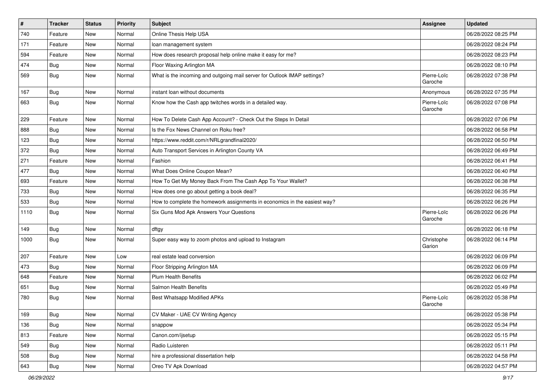| $\vert$ # | <b>Tracker</b> | <b>Status</b> | <b>Priority</b> | <b>Subject</b>                                                            | Assignee               | <b>Updated</b>      |
|-----------|----------------|---------------|-----------------|---------------------------------------------------------------------------|------------------------|---------------------|
| 740       | Feature        | New           | Normal          | Online Thesis Help USA                                                    |                        | 06/28/2022 08:25 PM |
| 171       | Feature        | New           | Normal          | loan management system                                                    |                        | 06/28/2022 08:24 PM |
| 594       | Feature        | New           | Normal          | How does research proposal help online make it easy for me?               |                        | 06/28/2022 08:23 PM |
| 474       | <b>Bug</b>     | New           | Normal          | Floor Waxing Arlington MA                                                 |                        | 06/28/2022 08:10 PM |
| 569       | Bug            | New           | Normal          | What is the incoming and outgoing mail server for Outlook IMAP settings?  | Pierre-Loïc<br>Garoche | 06/28/2022 07:38 PM |
| 167       | Bug            | New           | Normal          | instant loan without documents                                            | Anonymous              | 06/28/2022 07:35 PM |
| 663       | Bug            | New           | Normal          | Know how the Cash app twitches words in a detailed way.                   | Pierre-Loïc<br>Garoche | 06/28/2022 07:08 PM |
| 229       | Feature        | New           | Normal          | How To Delete Cash App Account? - Check Out the Steps In Detail           |                        | 06/28/2022 07:06 PM |
| 888       | Bug            | New           | Normal          | Is the Fox News Channel on Roku free?                                     |                        | 06/28/2022 06:58 PM |
| 123       | <b>Bug</b>     | New           | Normal          | https://www.reddit.com/r/NRLgrandfinal2020/                               |                        | 06/28/2022 06:50 PM |
| 372       | Bug            | New           | Normal          | Auto Transport Services in Arlington County VA                            |                        | 06/28/2022 06:49 PM |
| 271       | Feature        | New           | Normal          | Fashion                                                                   |                        | 06/28/2022 06:41 PM |
| 477       | Bug            | New           | Normal          | What Does Online Coupon Mean?                                             |                        | 06/28/2022 06:40 PM |
| 693       | Feature        | New           | Normal          | How To Get My Money Back From The Cash App To Your Wallet?                |                        | 06/28/2022 06:38 PM |
| 733       | <b>Bug</b>     | New           | Normal          | How does one go about getting a book deal?                                |                        | 06/28/2022 06:35 PM |
| 533       | Bug            | New           | Normal          | How to complete the homework assignments in economics in the easiest way? |                        | 06/28/2022 06:26 PM |
| 1110      | Bug            | New           | Normal          | Six Guns Mod Apk Answers Your Questions                                   | Pierre-Loïc<br>Garoche | 06/28/2022 06:26 PM |
| 149       | <b>Bug</b>     | New           | Normal          | dftgy                                                                     |                        | 06/28/2022 06:18 PM |
| 1000      | Bug            | New           | Normal          | Super easy way to zoom photos and upload to Instagram                     | Christophe<br>Garion   | 06/28/2022 06:14 PM |
| 207       | Feature        | New           | Low             | real estate lead conversion                                               |                        | 06/28/2022 06:09 PM |
| 473       | Bug            | New           | Normal          | Floor Stripping Arlington MA                                              |                        | 06/28/2022 06:09 PM |
| 648       | Feature        | New           | Normal          | <b>Plum Health Benefits</b>                                               |                        | 06/28/2022 06:02 PM |
| 651       | <b>Bug</b>     | New           | Normal          | Salmon Health Benefits                                                    |                        | 06/28/2022 05:49 PM |
| 780       | <b>Bug</b>     | New           | Normal          | Best Whatsapp Modified APKs                                               | Pierre-Loïc<br>Garoche | 06/28/2022 05:38 PM |
| 169       | Bug            | New           | Normal          | CV Maker - UAE CV Writing Agency                                          |                        | 06/28/2022 05:38 PM |
| 136       | <b>Bug</b>     | New           | Normal          | snappow                                                                   |                        | 06/28/2022 05:34 PM |
| 813       | Feature        | New           | Normal          | Canon.com/ijsetup                                                         |                        | 06/28/2022 05:15 PM |
| 549       | <b>Bug</b>     | New           | Normal          | Radio Luisteren                                                           |                        | 06/28/2022 05:11 PM |
| 508       | Bug            | New           | Normal          | hire a professional dissertation help                                     |                        | 06/28/2022 04:58 PM |
| 643       | Bug            | New           | Normal          | Oreo TV Apk Download                                                      |                        | 06/28/2022 04:57 PM |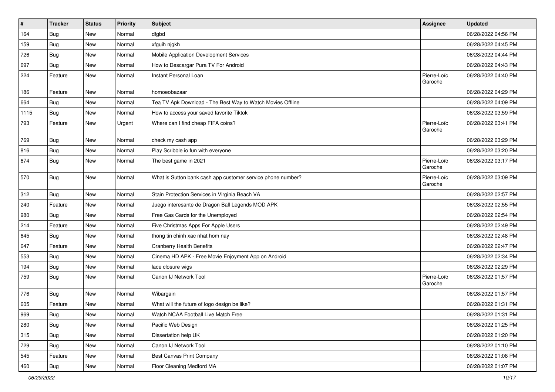| $\pmb{\#}$ | <b>Tracker</b> | <b>Status</b> | Priority | <b>Subject</b>                                              | <b>Assignee</b>        | <b>Updated</b>      |
|------------|----------------|---------------|----------|-------------------------------------------------------------|------------------------|---------------------|
| 164        | <b>Bug</b>     | New           | Normal   | dfgbd                                                       |                        | 06/28/2022 04:56 PM |
| 159        | <b>Bug</b>     | New           | Normal   | xfguih njgkh                                                |                        | 06/28/2022 04:45 PM |
| 726        | Bug            | New           | Normal   | Mobile Application Development Services                     |                        | 06/28/2022 04:44 PM |
| 697        | <b>Bug</b>     | New           | Normal   | How to Descargar Pura TV For Android                        |                        | 06/28/2022 04:43 PM |
| 224        | Feature        | <b>New</b>    | Normal   | Instant Personal Loan                                       | Pierre-Loïc<br>Garoche | 06/28/2022 04:40 PM |
| 186        | Feature        | <b>New</b>    | Normal   | homoeobazaar                                                |                        | 06/28/2022 04:29 PM |
| 664        | <b>Bug</b>     | New           | Normal   | Tea TV Apk Download - The Best Way to Watch Movies Offline  |                        | 06/28/2022 04:09 PM |
| 1115       | Bug            | New           | Normal   | How to access your saved favorite Tiktok                    |                        | 06/28/2022 03:59 PM |
| 793        | Feature        | <b>New</b>    | Urgent   | Where can I find cheap FIFA coins?                          | Pierre-Loïc<br>Garoche | 06/28/2022 03:41 PM |
| 769        | Bug            | <b>New</b>    | Normal   | check my cash app                                           |                        | 06/28/2022 03:29 PM |
| 816        | Bug            | New           | Normal   | Play Scribble io fun with everyone                          |                        | 06/28/2022 03:20 PM |
| 674        | Bug            | New           | Normal   | The best game in 2021                                       | Pierre-Loïc<br>Garoche | 06/28/2022 03:17 PM |
| 570        | Bug            | New           | Normal   | What is Sutton bank cash app customer service phone number? | Pierre-Loïc<br>Garoche | 06/28/2022 03:09 PM |
| 312        | <b>Bug</b>     | <b>New</b>    | Normal   | Stain Protection Services in Virginia Beach VA              |                        | 06/28/2022 02:57 PM |
| 240        | Feature        | New           | Normal   | Juego interesante de Dragon Ball Legends MOD APK            |                        | 06/28/2022 02:55 PM |
| 980        | <b>Bug</b>     | <b>New</b>    | Normal   | Free Gas Cards for the Unemployed                           |                        | 06/28/2022 02:54 PM |
| 214        | Feature        | New           | Normal   | Five Christmas Apps For Apple Users                         |                        | 06/28/2022 02:49 PM |
| 645        | <b>Bug</b>     | New           | Normal   | thong tin chinh xac nhat hom nay                            |                        | 06/28/2022 02:48 PM |
| 647        | Feature        | <b>New</b>    | Normal   | <b>Cranberry Health Benefits</b>                            |                        | 06/28/2022 02:47 PM |
| 553        | Bug            | New           | Normal   | Cinema HD APK - Free Movie Enjoyment App on Android         |                        | 06/28/2022 02:34 PM |
| 194        | Bug            | New           | Normal   | lace closure wigs                                           |                        | 06/28/2022 02:29 PM |
| 759        | <b>Bug</b>     | New           | Normal   | Canon IJ Network Tool                                       | Pierre-Loïc<br>Garoche | 06/28/2022 01:57 PM |
| 776        | Bug            | New           | Normal   | Wibargain                                                   |                        | 06/28/2022 01:57 PM |
| 605        | Feature        | <b>New</b>    | Normal   | What will the future of logo design be like?                |                        | 06/28/2022 01:31 PM |
| 969        | Bug            | New           | Normal   | Watch NCAA Football Live Match Free                         |                        | 06/28/2022 01:31 PM |
| 280        | Bug            | New           | Normal   | Pacific Web Design                                          |                        | 06/28/2022 01:25 PM |
| 315        | Bug            | New           | Normal   | Dissertation help UK                                        |                        | 06/28/2022 01:20 PM |
| 729        | Bug            | New           | Normal   | Canon IJ Network Tool                                       |                        | 06/28/2022 01:10 PM |
| 545        | Feature        | <b>New</b>    | Normal   | Best Canvas Print Company                                   |                        | 06/28/2022 01:08 PM |
| 460        | <b>Bug</b>     | New           | Normal   | Floor Cleaning Medford MA                                   |                        | 06/28/2022 01:07 PM |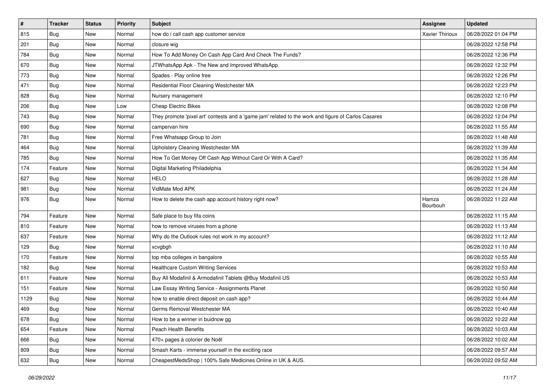| $\sharp$ | <b>Tracker</b> | <b>Status</b> | <b>Priority</b> | Subject                                                                                             | <b>Assignee</b>   | <b>Updated</b>      |
|----------|----------------|---------------|-----------------|-----------------------------------------------------------------------------------------------------|-------------------|---------------------|
| 815      | <b>Bug</b>     | New           | Normal          | how do i call cash app customer service                                                             | Xavier Thirioux   | 06/28/2022 01:04 PM |
| 201      | <b>Bug</b>     | New           | Normal          | closure wig                                                                                         |                   | 06/28/2022 12:58 PM |
| 784      | Bug            | New           | Normal          | How To Add Money On Cash App Card And Check The Funds?                                              |                   | 06/28/2022 12:36 PM |
| 670      | <b>Bug</b>     | New           | Normal          | JTWhatsApp Apk - The New and Improved WhatsApp                                                      |                   | 06/28/2022 12:32 PM |
| 773      | <b>Bug</b>     | New           | Normal          | Spades - Play online free                                                                           |                   | 06/28/2022 12:26 PM |
| 471      | <b>Bug</b>     | New           | Normal          | Residential Floor Cleaning Westchester MA                                                           |                   | 06/28/2022 12:23 PM |
| 828      | Bug            | New           | Normal          | Nursery management                                                                                  |                   | 06/28/2022 12:10 PM |
| 206      | <b>Bug</b>     | New           | Low             | <b>Cheap Electric Bikes</b>                                                                         |                   | 06/28/2022 12:08 PM |
| 743      | <b>Bug</b>     | New           | Normal          | They promote 'pixel art' contests and a 'game jam' related to the work and figure of Carlos Casares |                   | 06/28/2022 12:04 PM |
| 690      | <b>Bug</b>     | New           | Normal          | campervan hire                                                                                      |                   | 06/28/2022 11:55 AM |
| 781      | <b>Bug</b>     | New           | Normal          | Free Whatsapp Group to Join                                                                         |                   | 06/28/2022 11:48 AM |
| 464      | Bug            | New           | Normal          | Upholstery Cleaning Westchester MA                                                                  |                   | 06/28/2022 11:39 AM |
| 785      | <b>Bug</b>     | New           | Normal          | How To Get Money Off Cash App Without Card Or With A Card?                                          |                   | 06/28/2022 11:35 AM |
| 174      | Feature        | New           | Normal          | Digital Marketing Philadelphia                                                                      |                   | 06/28/2022 11:34 AM |
| 627      | <b>Bug</b>     | New           | Normal          | <b>HELO</b>                                                                                         |                   | 06/28/2022 11:28 AM |
| 981      | <b>Bug</b>     | New           | Normal          | VidMate Mod APK                                                                                     |                   | 06/28/2022 11:24 AM |
| 976      | Bug            | New           | Normal          | How to delete the cash app account history right now?                                               | Hamza<br>Bourbouh | 06/28/2022 11:22 AM |
| 794      | Feature        | <b>New</b>    | Normal          | Safe place to buy fifa coins                                                                        |                   | 06/28/2022 11:15 AM |
| 810      | Feature        | New           | Normal          | how to remove viruses from a phone                                                                  |                   | 06/28/2022 11:13 AM |
| 637      | Feature        | New           | Normal          | Why do the Outlook rules not work in my account?                                                    |                   | 06/28/2022 11:12 AM |
| 129      | <b>Bug</b>     | New           | Normal          | xcvgbgh                                                                                             |                   | 06/28/2022 11:10 AM |
| 170      | Feature        | New           | Normal          | top mba colleges in bangalore                                                                       |                   | 06/28/2022 10:55 AM |
| 182      | Bug            | New           | Normal          | Healthcare Custom Writing Services                                                                  |                   | 06/28/2022 10:53 AM |
| 611      | Feature        | New           | Normal          | Buy All Modafinil & Armodafinil Tablets @Buy Modafinil US                                           |                   | 06/28/2022 10:53 AM |
| 151      | Feature        | New           | Normal          | Law Essay Writing Service - Assignments Planet                                                      |                   | 06/28/2022 10:50 AM |
| 1129     | Bug            | New           | Normal          | how to enable direct deposit on cash app?                                                           |                   | 06/28/2022 10:44 AM |
| 469      | <b>Bug</b>     | New           | Normal          | Germs Removal Westchester MA                                                                        |                   | 06/28/2022 10:40 AM |
| 678      | <b>Bug</b>     | New           | Normal          | How to be a winner in buidnow gg                                                                    |                   | 06/28/2022 10:22 AM |
| 654      | Feature        | New           | Normal          | Peach Health Benefits                                                                               |                   | 06/28/2022 10:03 AM |
| 666      | <b>Bug</b>     | New           | Normal          | 470+ pages à colorier de Noël                                                                       |                   | 06/28/2022 10:02 AM |
| 809      | <b>Bug</b>     | New           | Normal          | Smash Karts - immerse yourself in the exciting race                                                 |                   | 06/28/2022 09:57 AM |
| 632      | <b>Bug</b>     | New           | Normal          | CheapestMedsShop   100% Safe Medicines Online in UK & AUS.                                          |                   | 06/28/2022 09:52 AM |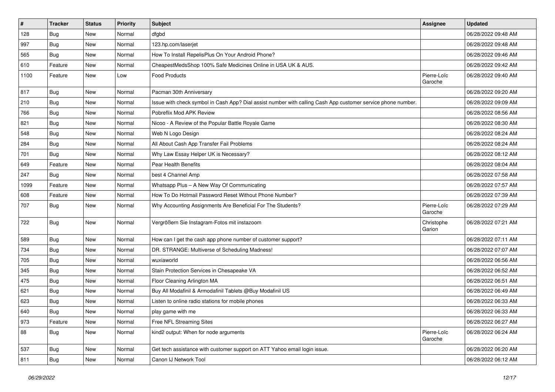| $\sharp$ | <b>Tracker</b> | <b>Status</b> | Priority | <b>Subject</b>                                                                                               | <b>Assignee</b>        | <b>Updated</b>      |
|----------|----------------|---------------|----------|--------------------------------------------------------------------------------------------------------------|------------------------|---------------------|
| 128      | <b>Bug</b>     | New           | Normal   | dfgbd                                                                                                        |                        | 06/28/2022 09:48 AM |
| 997      | <b>Bug</b>     | New           | Normal   | 123.hp.com/laserjet                                                                                          |                        | 06/28/2022 09:48 AM |
| 565      | Bug            | New           | Normal   | How To Install RepelisPlus On Your Android Phone?                                                            |                        | 06/28/2022 09:46 AM |
| 610      | Feature        | New           | Normal   | CheapestMedsShop 100% Safe Medicines Online in USA UK & AUS.                                                 |                        | 06/28/2022 09:42 AM |
| 1100     | Feature        | New           | Low      | <b>Food Products</b>                                                                                         | Pierre-Loïc<br>Garoche | 06/28/2022 09:40 AM |
| 817      | Bug            | New           | Normal   | Pacman 30th Anniversary                                                                                      |                        | 06/28/2022 09:20 AM |
| 210      | Bug            | New           | Normal   | Issue with check symbol in Cash App? Dial assist number with calling Cash App customer service phone number. |                        | 06/28/2022 09:09 AM |
| 766      | Bug            | New           | Normal   | Pobreflix Mod APK Review                                                                                     |                        | 06/28/2022 08:56 AM |
| 821      | Bug            | New           | Normal   | Nicoo - A Review of the Popular Battle Royale Game                                                           |                        | 06/28/2022 08:30 AM |
| 548      | Bug            | New           | Normal   | Web N Logo Design                                                                                            |                        | 06/28/2022 08:24 AM |
| 284      | Bug            | New           | Normal   | All About Cash App Transfer Fail Problems                                                                    |                        | 06/28/2022 08:24 AM |
| 701      | Bug            | New           | Normal   | Why Law Essay Helper UK is Necessary?                                                                        |                        | 06/28/2022 08:12 AM |
| 649      | Feature        | New           | Normal   | Pear Health Benefits                                                                                         |                        | 06/28/2022 08:04 AM |
| 247      | <b>Bug</b>     | New           | Normal   | best 4 Channel Amp                                                                                           |                        | 06/28/2022 07:58 AM |
| 1099     | Feature        | New           | Normal   | Whatsapp Plus - A New Way Of Communicating                                                                   |                        | 06/28/2022 07:57 AM |
| 608      | Feature        | New           | Normal   | How To Do Hotmail Password Reset Without Phone Number?                                                       |                        | 06/28/2022 07:39 AM |
| 707      | Bug            | New           | Normal   | Why Accounting Assignments Are Beneficial For The Students?                                                  | Pierre-Loïc<br>Garoche | 06/28/2022 07:29 AM |
| 722      | Bug            | New           | Normal   | Vergrößern Sie Instagram-Fotos mit instazoom                                                                 | Christophe<br>Garion   | 06/28/2022 07:21 AM |
| 589      | Bug            | New           | Normal   | How can I get the cash app phone number of customer support?                                                 |                        | 06/28/2022 07:11 AM |
| 734      | Bug            | New           | Normal   | DR. STRANGE: Multiverse of Scheduling Madness!                                                               |                        | 06/28/2022 07:07 AM |
| 705      | Bug            | New           | Normal   | wuxiaworld                                                                                                   |                        | 06/28/2022 06:56 AM |
| 345      | <b>Bug</b>     | New           | Normal   | Stain Protection Services in Chesapeake VA                                                                   |                        | 06/28/2022 06:52 AM |
| 475      | Bug            | New           | Normal   | Floor Cleaning Arlington MA                                                                                  |                        | 06/28/2022 06:51 AM |
| 621      | <b>Bug</b>     | New           | Normal   | Buy All Modafinil & Armodafinil Tablets @Buy Modafinil US                                                    |                        | 06/28/2022 06:49 AM |
| 623      | <b>Bug</b>     | New           | Normal   | Listen to online radio stations for mobile phones                                                            |                        | 06/28/2022 06:33 AM |
| 640      | Bug            | New           | Normal   | play game with me                                                                                            |                        | 06/28/2022 06:33 AM |
| 973      | Feature        | New           | Normal   | Free NFL Streaming Sites                                                                                     |                        | 06/28/2022 06:27 AM |
| 88       | <b>Bug</b>     | New           | Normal   | kind2 output: When for node arguments                                                                        | Pierre-Loïc<br>Garoche | 06/28/2022 06:24 AM |
| 537      | Bug            | New           | Normal   | Get tech assistance with customer support on ATT Yahoo email login issue.                                    |                        | 06/28/2022 06:20 AM |
| 811      | <b>Bug</b>     | New           | Normal   | Canon IJ Network Tool                                                                                        |                        | 06/28/2022 06:12 AM |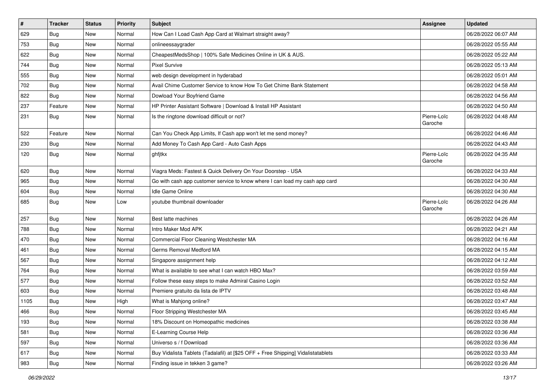| #    | <b>Tracker</b> | <b>Status</b> | <b>Priority</b> | Subject                                                                          | <b>Assignee</b>        | <b>Updated</b>      |
|------|----------------|---------------|-----------------|----------------------------------------------------------------------------------|------------------------|---------------------|
| 629  | <b>Bug</b>     | New           | Normal          | How Can I Load Cash App Card at Walmart straight away?                           |                        | 06/28/2022 06:07 AM |
| 753  | Bug            | New           | Normal          | onlineessaygrader                                                                |                        | 06/28/2022 05:55 AM |
| 622  | <b>Bug</b>     | New           | Normal          | CheapestMedsShop   100% Safe Medicines Online in UK & AUS.                       |                        | 06/28/2022 05:22 AM |
| 744  | <b>Bug</b>     | New           | Normal          | <b>Pixel Survive</b>                                                             |                        | 06/28/2022 05:13 AM |
| 555  | <b>Bug</b>     | New           | Normal          | web design development in hyderabad                                              |                        | 06/28/2022 05:01 AM |
| 702  | Bug            | New           | Normal          | Avail Chime Customer Service to know How To Get Chime Bank Statement             |                        | 06/28/2022 04:58 AM |
| 822  | <b>Bug</b>     | New           | Normal          | Dowload Your Boyfriend Game                                                      |                        | 06/28/2022 04:56 AM |
| 237  | Feature        | New           | Normal          | HP Printer Assistant Software   Download & Install HP Assistant                  |                        | 06/28/2022 04:50 AM |
| 231  | Bug            | New           | Normal          | Is the ringtone download difficult or not?                                       | Pierre-Loïc<br>Garoche | 06/28/2022 04:48 AM |
| 522  | Feature        | New           | Normal          | Can You Check App Limits, If Cash app won't let me send money?                   |                        | 06/28/2022 04:46 AM |
| 230  | <b>Bug</b>     | New           | Normal          | Add Money To Cash App Card - Auto Cash Apps                                      |                        | 06/28/2022 04:43 AM |
| 120  | <b>Bug</b>     | New           | Normal          | ghfjtkx                                                                          | Pierre-Loïc<br>Garoche | 06/28/2022 04:35 AM |
| 620  | i Bug          | New           | Normal          | Viagra Meds: Fastest & Quick Delivery On Your Doorstep - USA                     |                        | 06/28/2022 04:33 AM |
| 965  | Bug            | New           | Normal          | Go with cash app customer service to know where I can load my cash app card      |                        | 06/28/2022 04:30 AM |
| 604  | <b>Bug</b>     | New           | Normal          | Idle Game Online                                                                 |                        | 06/28/2022 04:30 AM |
| 685  | <b>Bug</b>     | New           | Low             | youtube thumbnail downloader                                                     | Pierre-Loïc<br>Garoche | 06/28/2022 04:26 AM |
| 257  | <b>Bug</b>     | New           | Normal          | Best latte machines                                                              |                        | 06/28/2022 04:26 AM |
| 788  | <b>Bug</b>     | New           | Normal          | Intro Maker Mod APK                                                              |                        | 06/28/2022 04:21 AM |
| 470  | Bug            | New           | Normal          | Commercial Floor Cleaning Westchester MA                                         |                        | 06/28/2022 04:16 AM |
| 461  | Bug            | New           | Normal          | Germs Removal Medford MA                                                         |                        | 06/28/2022 04:15 AM |
| 567  | <b>Bug</b>     | New           | Normal          | Singapore assignment help                                                        |                        | 06/28/2022 04:12 AM |
| 764  | Bug            | New           | Normal          | What is available to see what I can watch HBO Max?                               |                        | 06/28/2022 03:59 AM |
| 577  | Bug            | New           | Normal          | Follow these easy steps to make Admiral Casino Login                             |                        | 06/28/2022 03:52 AM |
| 603  | <b>Bug</b>     | New           | Normal          | Premiere gratuito da lista de IPTV                                               |                        | 06/28/2022 03:48 AM |
| 1105 | <b>Bug</b>     | New           | High            | What is Mahjong online?                                                          |                        | 06/28/2022 03:47 AM |
| 466  | Bug            | New           | Normal          | Floor Stripping Westchester MA                                                   |                        | 06/28/2022 03:45 AM |
| 193  | <b>Bug</b>     | New           | Normal          | 18% Discount on Homeopathic medicines                                            |                        | 06/28/2022 03:38 AM |
| 581  | <b>Bug</b>     | New           | Normal          | E-Learning Course Help                                                           |                        | 06/28/2022 03:36 AM |
| 597  | <b>Bug</b>     | New           | Normal          | Universo s / f Download                                                          |                        | 06/28/2022 03:36 AM |
| 617  | <b>Bug</b>     | New           | Normal          | Buy Vidalista Tablets (Tadalafil) at [\$25 OFF + Free Shipping] Vidalistatablets |                        | 06/28/2022 03:33 AM |
| 983  | <b>Bug</b>     | New           | Normal          | Finding issue in tekken 3 game?                                                  |                        | 06/28/2022 03:26 AM |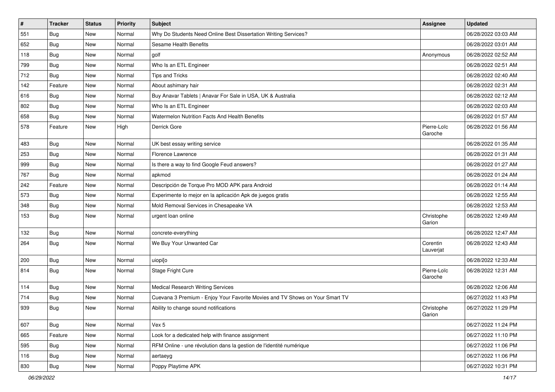| $\vert$ # | <b>Tracker</b> | <b>Status</b> | <b>Priority</b> | <b>Subject</b>                                                               | Assignee               | <b>Updated</b>      |
|-----------|----------------|---------------|-----------------|------------------------------------------------------------------------------|------------------------|---------------------|
| 551       | <b>Bug</b>     | New           | Normal          | Why Do Students Need Online Best Dissertation Writing Services?              |                        | 06/28/2022 03:03 AM |
| 652       | <b>Bug</b>     | New           | Normal          | Sesame Health Benefits                                                       |                        | 06/28/2022 03:01 AM |
| 118       | Bug            | New           | Normal          | golf                                                                         | Anonymous              | 06/28/2022 02:52 AM |
| 799       | Bug            | New           | Normal          | Who Is an ETL Engineer                                                       |                        | 06/28/2022 02:51 AM |
| 712       | <b>Bug</b>     | New           | Normal          | Tips and Tricks                                                              |                        | 06/28/2022 02:40 AM |
| 142       | Feature        | New           | Normal          | About ashimary hair                                                          |                        | 06/28/2022 02:31 AM |
| 616       | <b>Bug</b>     | New           | Normal          | Buy Anavar Tablets   Anavar For Sale in USA, UK & Australia                  |                        | 06/28/2022 02:12 AM |
| 802       | Bug            | New           | Normal          | Who Is an ETL Engineer                                                       |                        | 06/28/2022 02:03 AM |
| 658       | Bug            | New           | Normal          | Watermelon Nutrition Facts And Health Benefits                               |                        | 06/28/2022 01:57 AM |
| 578       | Feature        | New           | High            | Derrick Gore                                                                 | Pierre-Loïc<br>Garoche | 06/28/2022 01:56 AM |
| 483       | Bug            | New           | Normal          | UK best essay writing service                                                |                        | 06/28/2022 01:35 AM |
| 253       | <b>Bug</b>     | New           | Normal          | Florence Lawrence                                                            |                        | 06/28/2022 01:31 AM |
| 999       | <b>Bug</b>     | New           | Normal          | Is there a way to find Google Feud answers?                                  |                        | 06/28/2022 01:27 AM |
| 767       | <b>Bug</b>     | New           | Normal          | apkmod                                                                       |                        | 06/28/2022 01:24 AM |
| 242       | Feature        | New           | Normal          | Descripción de Torque Pro MOD APK para Android                               |                        | 06/28/2022 01:14 AM |
| 573       | Bug            | New           | Normal          | Experimente lo mejor en la aplicación Apk de juegos gratis                   |                        | 06/28/2022 12:55 AM |
| 348       | Bug            | New           | Normal          | Mold Removal Services in Chesapeake VA                                       |                        | 06/28/2022 12:53 AM |
| 153       | <b>Bug</b>     | New           | Normal          | urgent loan online                                                           | Christophe<br>Garion   | 06/28/2022 12:49 AM |
| 132       | Bug            | New           | Normal          | concrete-everything                                                          |                        | 06/28/2022 12:47 AM |
| 264       | <b>Bug</b>     | New           | Normal          | We Buy Your Unwanted Car                                                     | Corentin<br>Lauverjat  | 06/28/2022 12:43 AM |
| 200       | Bug            | New           | Normal          | uiopi[o                                                                      |                        | 06/28/2022 12:33 AM |
| 814       | <b>Bug</b>     | New           | Normal          | Stage Fright Cure                                                            | Pierre-Loïc<br>Garoche | 06/28/2022 12:31 AM |
| 114       | <b>Bug</b>     | New           | Normal          | <b>Medical Research Writing Services</b>                                     |                        | 06/28/2022 12:06 AM |
| 714       | <b>Bug</b>     | New           | Normal          | Cuevana 3 Premium - Enjoy Your Favorite Movies and TV Shows on Your Smart TV |                        | 06/27/2022 11:43 PM |
| 939       | <b>Bug</b>     | New           | Normal          | Ability to change sound notifications                                        | Christophe<br>Garion   | 06/27/2022 11:29 PM |
| 607       | <b>Bug</b>     | New           | Normal          | Vex 5                                                                        |                        | 06/27/2022 11:24 PM |
| 665       | Feature        | New           | Normal          | Look for a dedicated help with finance assignment                            |                        | 06/27/2022 11:10 PM |
| 595       | <b>Bug</b>     | New           | Normal          | RFM Online - une révolution dans la gestion de l'identité numérique          |                        | 06/27/2022 11:06 PM |
| 116       | <b>Bug</b>     | New           | Normal          | aertaeyg                                                                     |                        | 06/27/2022 11:06 PM |
| 830       | Bug            | New           | Normal          | Poppy Playtime APK                                                           |                        | 06/27/2022 10:31 PM |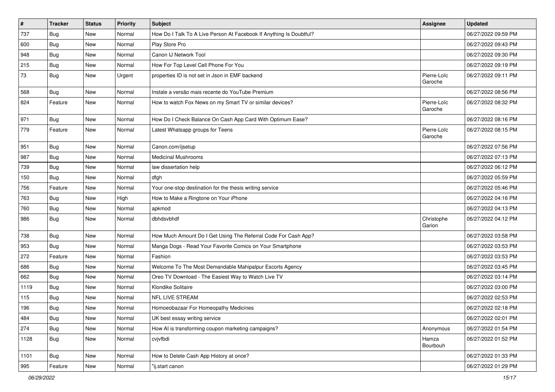| $\sharp$ | <b>Tracker</b> | <b>Status</b> | Priority | <b>Subject</b>                                                      | Assignee               | <b>Updated</b>      |
|----------|----------------|---------------|----------|---------------------------------------------------------------------|------------------------|---------------------|
| 737      | <b>Bug</b>     | New           | Normal   | How Do I Talk To A Live Person At Facebook If Anything Is Doubtful? |                        | 06/27/2022 09:59 PM |
| 600      | Bug            | <b>New</b>    | Normal   | Play Store Pro                                                      |                        | 06/27/2022 09:43 PM |
| 948      | Bug            | New           | Normal   | Canon IJ Network Tool                                               |                        | 06/27/2022 09:30 PM |
| 215      | <b>Bug</b>     | New           | Normal   | How For Top Level Cell Phone For You                                |                        | 06/27/2022 09:19 PM |
| 73       | <b>Bug</b>     | New           | Urgent   | properties ID is not set in Json in EMF backend                     | Pierre-Loïc<br>Garoche | 06/27/2022 09:11 PM |
| 568      | Bug            | <b>New</b>    | Normal   | Instale a versão mais recente do YouTube Premium                    |                        | 06/27/2022 08:56 PM |
| 824      | Feature        | <b>New</b>    | Normal   | How to watch Fox News on my Smart TV or similar devices?            | Pierre-Loïc<br>Garoche | 06/27/2022 08:32 PM |
| 971      | Bug            | <b>New</b>    | Normal   | How Do I Check Balance On Cash App Card With Optimum Ease?          |                        | 06/27/2022 08:16 PM |
| 779      | Feature        | <b>New</b>    | Normal   | Latest Whatsapp groups for Teens                                    | Pierre-Loïc<br>Garoche | 06/27/2022 08:15 PM |
| 951      | <b>Bug</b>     | <b>New</b>    | Normal   | Canon.com/ijsetup                                                   |                        | 06/27/2022 07:56 PM |
| 987      | Bug            | New           | Normal   | <b>Medicinal Mushrooms</b>                                          |                        | 06/27/2022 07:13 PM |
| 739      | Bug            | New           | Normal   | law dissertation help                                               |                        | 06/27/2022 06:12 PM |
| 150      | <b>Bug</b>     | <b>New</b>    | Normal   | dfgh                                                                |                        | 06/27/2022 05:59 PM |
| 756      | Feature        | New           | Normal   | Your one-stop destination for the thesis writing service            |                        | 06/27/2022 05:46 PM |
| 763      | <b>Bug</b>     | New           | High     | How to Make a Ringtone on Your iPhone                               |                        | 06/27/2022 04:16 PM |
| 760      | Bug            | New           | Normal   | apkmod                                                              |                        | 06/27/2022 04:13 PM |
| 986      | <b>Bug</b>     | New           | Normal   | dbhdsvbhdf                                                          | Christophe<br>Garion   | 06/27/2022 04:12 PM |
| 738      | Bug            | New           | Normal   | How Much Amount Do I Get Using The Referral Code For Cash App?      |                        | 06/27/2022 03:58 PM |
| 953      | Bug            | New           | Normal   | Manga Dogs - Read Your Favorite Comics on Your Smartphone           |                        | 06/27/2022 03:53 PM |
| 272      | Feature        | <b>New</b>    | Normal   | Fashion                                                             |                        | 06/27/2022 03:53 PM |
| 686      | <b>Bug</b>     | New           | Normal   | Welcome To The Most Demandable Mahipalpur Escorts Agency            |                        | 06/27/2022 03:45 PM |
| 662      | <b>Bug</b>     | New           | Normal   | Oreo TV Download - The Easiest Way to Watch Live TV                 |                        | 06/27/2022 03:14 PM |
| 1119     | Bug            | New           | Normal   | Klondike Solitaire                                                  |                        | 06/27/2022 03:00 PM |
| 115      | <b>Bug</b>     | New           | Normal   | <b>NFL LIVE STREAM</b>                                              |                        | 06/27/2022 02:53 PM |
| 196      | Bug            | New           | Normal   | Homoeobazaar For Homeopathy Medicines                               |                        | 06/27/2022 02:18 PM |
| 484      | <b>Bug</b>     | New           | Normal   | UK best essay writing service                                       |                        | 06/27/2022 02:01 PM |
| 274      | Bug            | New           | Normal   | How AI is transforming coupon marketing campaigns?                  | Anonymous              | 06/27/2022 01:54 PM |
| 1128     | <b>Bug</b>     | New           | Normal   | cvjvfbdi                                                            | Hamza<br>Bourbouh      | 06/27/2022 01:52 PM |
| 1101     | <b>Bug</b>     | <b>New</b>    | Normal   | How to Delete Cash App History at once?                             |                        | 06/27/2022 01:33 PM |
| 995      | Feature        | New           | Normal   | "ij.start canon                                                     |                        | 06/27/2022 01:29 PM |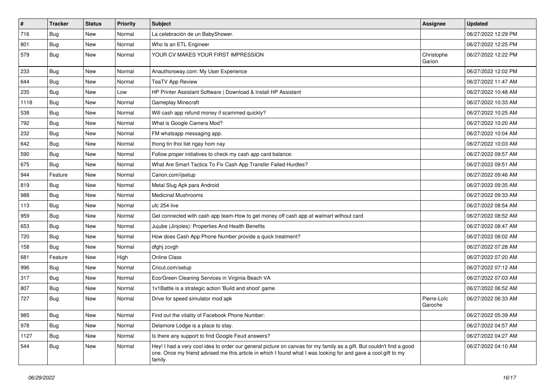| $\pmb{\#}$ | <b>Tracker</b> | <b>Status</b> | Priority | <b>Subject</b>                                                                                                                                                                                                                                    | <b>Assignee</b>        | <b>Updated</b>      |
|------------|----------------|---------------|----------|---------------------------------------------------------------------------------------------------------------------------------------------------------------------------------------------------------------------------------------------------|------------------------|---------------------|
| 716        | <b>Bug</b>     | New           | Normal   | La celebración de un BabyShower.                                                                                                                                                                                                                  |                        | 06/27/2022 12:29 PM |
| 801        | Bug            | New           | Normal   | Who Is an ETL Engineer                                                                                                                                                                                                                            |                        | 06/27/2022 12:25 PM |
| 579        | Bug            | New           | Normal   | YOUR CV MAKES YOUR FIRST IMPRESSION                                                                                                                                                                                                               | Christophe<br>Garion   | 06/27/2022 12:22 PM |
| 233        | Bug            | New           | Normal   | Anauthorsway.com: My User Experience                                                                                                                                                                                                              |                        | 06/27/2022 12:02 PM |
| 644        | <b>Bug</b>     | New           | Normal   | <b>TeaTV App Review</b>                                                                                                                                                                                                                           |                        | 06/27/2022 11:47 AM |
| 235        | <b>Bug</b>     | New           | Low      | HP Printer Assistant Software   Download & Install HP Assistant                                                                                                                                                                                   |                        | 06/27/2022 10:48 AM |
| 1118       | Bug            | New           | Normal   | Gameplay Minecraft                                                                                                                                                                                                                                |                        | 06/27/2022 10:33 AM |
| 538        | <b>Bug</b>     | New           | Normal   | Will cash app refund money if scammed quickly?                                                                                                                                                                                                    |                        | 06/27/2022 10:25 AM |
| 792        | Bug            | New           | Normal   | What is Google Camera Mod?                                                                                                                                                                                                                        |                        | 06/27/2022 10:20 AM |
| 232        | <b>Bug</b>     | New           | Normal   | FM whatsapp messaging app.                                                                                                                                                                                                                        |                        | 06/27/2022 10:04 AM |
| 642        | <b>Bug</b>     | New           | Normal   | thong tin thoi tiet ngay hom nay                                                                                                                                                                                                                  |                        | 06/27/2022 10:03 AM |
| 590        | Bug            | New           | Normal   | Follow proper initiatives to check my cash app card balance:                                                                                                                                                                                      |                        | 06/27/2022 09:57 AM |
| 675        | Bug            | New           | Normal   | What Are Smart Tactics To Fix Cash App Transfer Failed Hurdles?                                                                                                                                                                                   |                        | 06/27/2022 09:51 AM |
| 944        | Feature        | New           | Normal   | Canon.com/ijsetup                                                                                                                                                                                                                                 |                        | 06/27/2022 09:46 AM |
| 819        | Bug            | New           | Normal   | Metal Slug Apk para Android                                                                                                                                                                                                                       |                        | 06/27/2022 09:35 AM |
| 988        | Bug            | New           | Normal   | <b>Medicinal Mushrooms</b>                                                                                                                                                                                                                        |                        | 06/27/2022 09:33 AM |
| 113        | Bug            | New           | Normal   | ufc 254 live                                                                                                                                                                                                                                      |                        | 06/27/2022 08:54 AM |
| 959        | Bug            | New           | Normal   | Get connected with cash app team-How to get money off cash app at walmart without card                                                                                                                                                            |                        | 06/27/2022 08:52 AM |
| 653        | <b>Bug</b>     | New           | Normal   | Jujube (Jinjoles): Properties And Health Benefits                                                                                                                                                                                                 |                        | 06/27/2022 08:47 AM |
| 720        | <b>Bug</b>     | New           | Normal   | How does Cash App Phone Number provide a quick treatment?                                                                                                                                                                                         |                        | 06/27/2022 08:02 AM |
| 158        | <b>Bug</b>     | New           | Normal   | dfghj zcvgh                                                                                                                                                                                                                                       |                        | 06/27/2022 07:28 AM |
| 681        | Feature        | New           | High     | <b>Online Class</b>                                                                                                                                                                                                                               |                        | 06/27/2022 07:20 AM |
| 996        | <b>Bug</b>     | New           | Normal   | Cricut.com/setup                                                                                                                                                                                                                                  |                        | 06/27/2022 07:12 AM |
| 317        | <b>Bug</b>     | New           | Normal   | Eco/Green Cleaning Services in Virginia Beach VA                                                                                                                                                                                                  |                        | 06/27/2022 07:03 AM |
| 807        | Bug            | New           | Normal   | 1v1Battle is a strategic action 'Build and shoot' game                                                                                                                                                                                            |                        | 06/27/2022 06:52 AM |
| 727        | <b>Bug</b>     | New           | Normal   | Drive for speed simulator mod apk                                                                                                                                                                                                                 | Pierre-Loïc<br>Garoche | 06/27/2022 06:33 AM |
| 985        | Bug            | New           | Normal   | Find out the vitality of Facebook Phone Number:                                                                                                                                                                                                   |                        | 06/27/2022 05:39 AM |
| 978        | <b>Bug</b>     | New           | Normal   | Delamore Lodge is a place to stay.                                                                                                                                                                                                                |                        | 06/27/2022 04:57 AM |
| 1127       | <b>Bug</b>     | New           | Normal   | Is there any support to find Google Feud answers?                                                                                                                                                                                                 |                        | 06/27/2022 04:27 AM |
| 544        | <b>Bug</b>     | New           | Normal   | Hey! I had a very cool idea to order our general picture on canvas for my family as a gift. But couldn't find a good<br>one. Once my friend advised me this article in which I found what I was looking for and gave a cool gift to my<br>family. |                        | 06/27/2022 04:10 AM |